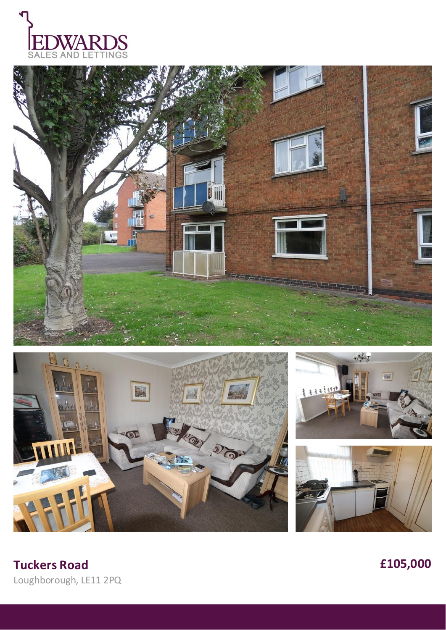









**Tuckers Road £105,000** Loughborough, LE11 2PQ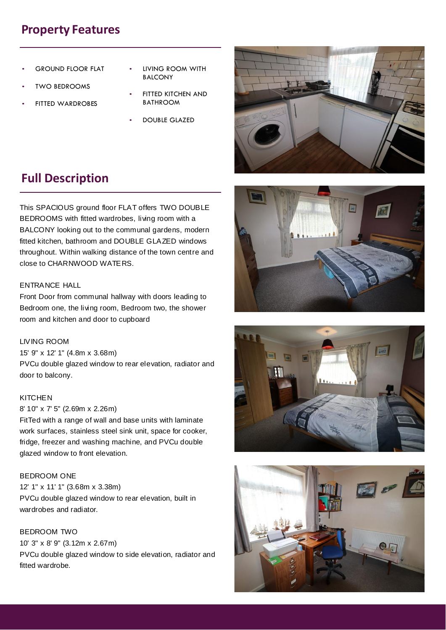# **Property Features**

- **GROUND FLOOR FLAT**
- **TWO BEDROOMS**
- FITTED WARDROBES
- LIVING ROOM WITH BALCONY
- **FITTED KITCHEN AND** BATHROOM
- DOUBLE GLAZED



# **Full Description**

This SPACIOUS ground floor FLAT offers TWO DOUBLE BEDROOMS with fitted wardrobes, living room with a BALCONY looking out to the communal gardens, modern fitted kitchen, bathroom and DOUBLE GLAZED windows throughout. Within walking distance of the town centre and close to CHARNWOOD WATERS.

# ENTRANCE HALL

Front Door from communal hallway with doors leading to Bedroom one, the living room, Bedroom two, the shower room and kitchen and door to cupboard

# LIVING ROOM

15' 9" x 12' 1" (4.8m x 3.68m) PVCu double glazed window to rear elevation, radiator and door to balcony.

#### **KITCHEN**

8' 10" x 7' 5" (2.69m x 2.26m)

FitTed with a range of wall and base units with laminate work surfaces, stainless steel sink unit, space for cooker, fridge, freezer and washing machine, and PVCu double glazed window to front elevation.

#### BEDROOM ONE

12' 1" x 11' 1" (3.68m x 3.38m) PVCu double glazed window to rear elevation, built in wardrobes and radiator.

# BEDROOM TWO

10' 3" x 8' 9" (3.12m x 2.67m) PVCu double glazed window to side elevation, radiator and fitted wardrobe.





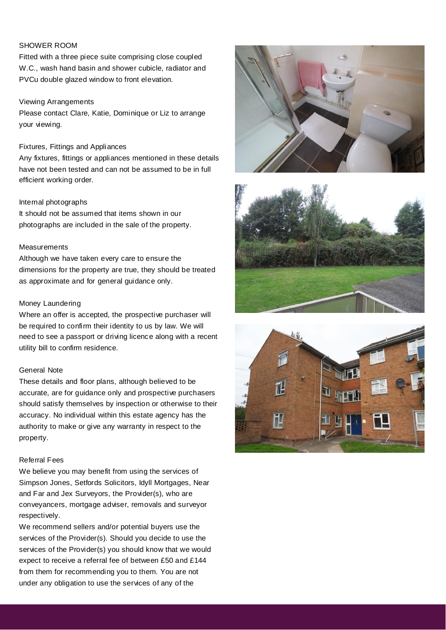# SHOWER ROOM

Fitted with a three piece suite comprising close coupled W.C., wash hand basin and shower cubicle, radiator and PVCu double glazed window to front elevation.

#### Viewing Arrangements

Please contact Clare, Katie, Dominique or Liz to arrange your viewing.

## Fixtures, Fittings and Appliances

Any fixtures, fittings or appliances mentioned in these details have not been tested and can not be assumed to be in full efficient working order.

## Internal photographs

It should not be assumed that items shown in our photographs are included in the sale of the property.

## Measurements

Although we have taken every care to ensure the dimensions for the property are true, they should be treated as approximate and for general guidance only.

## Money Laundering

Where an offer is accepted, the prospective purchaser will be required to confirm their identity to us by law. We will need to see a passport or driving licence along with a recent utility bill to confirm residence.

# General Note

These details and floor plans, although believed to be accurate, are for guidance only and prospective purchasers should satisfy themselves by inspection or otherwise to their accuracy. No individual within this estate agency has the authority to make or give any warranty in respect to the property.

# Referral Fees

We believe you may benefit from using the services of Simpson Jones, Setfords Solicitors, Idyll Mortgages, Near and Far and Jex Surveyors, the Provider(s), who are conveyancers, mortgage adviser, removals and surveyor respectively.

We recommend sellers and/or potential buyers use the services of the Provider(s). Should you decide to use the services of the Provider(s) you should know that we would expect to receive a referral fee of between £50 and £144 from them for recommending you to them. You are not under any obligation to use the services of any of the